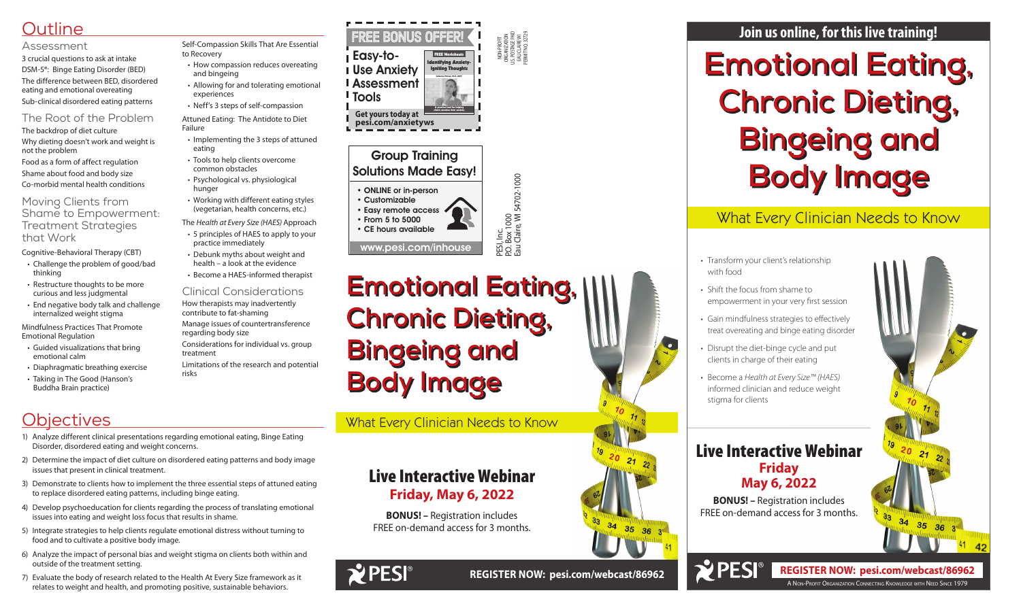## **Outline**

#### Assessment

3 crucial questions to ask at intake DSM-5®: Binge Eating Disorder (BED) The difference between BED, disordered eating and emotional overeating Sub-clinical disordered eating patterns

### The Root of the Problem

The backdrop of diet culture Why dieting doesn't work and weight is not the problem Food as a form of affect regulation Shame about food and body size Co-morbid mental health conditions

#### Moving Clients from Shame to Empowerment: Treatment Strategies that Work

#### Cognitive-Behavioral Therapy (CBT)

- Challenge the problem of good/bad thinking
- Restructure thoughts to be more curious and less judgmental
- End negative body talk and challenge internalized weight stigma

Mindfulness Practices That Promote Emotional Regulation

- Guided visualizations that bring emotional calm
- Diaphragmatic breathing exercise
- Taking in The Good (Hanson's Buddha Brain practice)

## **Objectives**

Self-Compassion Skills That Are Essential to Recovery

> PESI, Inc.<br>P.O. Box 1000<br>Eau Claire, WI 54702-1000 P.O. Box 1000 Eau Claire, WI 54702-1000

- How compassion reduces overeating and bingeing
- Allowing for and tolerating emotional experiences
- Neff's 3 steps of self-compassion

Attuned Eating: The Antidote to Diet Failure

- Implementing the 3 steps of attuned eating
- Tools to help clients overcome common obstacles
- Psychological vs. physiological hunger
- Working with different eating styles (vegetarian, health concerns, etc.)

The *Health at Every Size (HAES)* Approach

- 5 principles of HAES to apply to your practice immediately
- Debunk myths about weight and health – a look at the evidence
- Become a HAES-informed therapist

### Clinical Considerations

How therapists may inadvertently contribute to fat-shaming

Manage issues of countertransference regarding body size

Considerations for individual vs. group treatment

Limitations of the research and potential risks

## **Join us online, for this live training!**

NON-PROFIT ORGANIZATION U.S. POSTAGE PAID EAU CLAIRE WI PERMIT NO. 32729

## Group Training Solutions Made Easy!

• ONLINE or in-person

• Customizable • Easy remote access • From 5 to 5000

• CE hours available

www.pesi.com/inhouse

## Live Interactive Webinar **Friday, May 6, 2022**

**BONUS! –** Registration includes FREE on-demand access for 3 months.





What Every Clinician Needs to Know

**Emotional Eating, Chronic Dieting, Bingeing and Body Image**

# **Emotional Eating, Chronic Dieting, Bingeing and Body Image**

• Transform your client's relationship

- with food
- 
- 
- 

 $\bullet$ 

 $\chi$  PESI<sup>®</sup>

• Shift the focus from shame to empowerment in your very first session

• Gain mindfulness strategies to effectively treat overeating and binge eating disorder

• Disrupt the diet-binge cycle and put clients in charge of their eating

• Become a *Health at Every Size™ (HAES)* informed clinician and reduce weight stigma for clients

## What Every Clinician Needs to Know

## Live Interactive Webinar **Friday May 6, 2022**

**BONUS! –** Registration includes FREE on-demand access for 3 months.

A Non-Profit Organization Connecting Knowledge with Need Since 1979

**REGISTER NOW: pesi.com/webcast/86962**

- 1) Analyze different clinical presentations regarding emotional eating, Binge Eating Disorder, disordered eating and weight concerns.
- 2) Determine the impact of diet culture on disordered eating patterns and body image issues that present in clinical treatment.
- 3) Demonstrate to clients how to implement the three essential steps of attuned eating to replace disordered eating patterns, including binge eating.
- 4) Develop psychoeducation for clients regarding the process of translating emotional issues into eating and weight loss focus that results in shame.
- 5) Integrate strategies to help clients regulate emotional distress without turning to food and to cultivate a positive body image.
- 6) Analyze the impact of personal bias and weight stigma on clients both within and outside of the treatment setting.
- 7) Evaluate the body of research related to the Health At Every Size framework as it relates to weight and health, and promoting positive, sustainable behaviors.